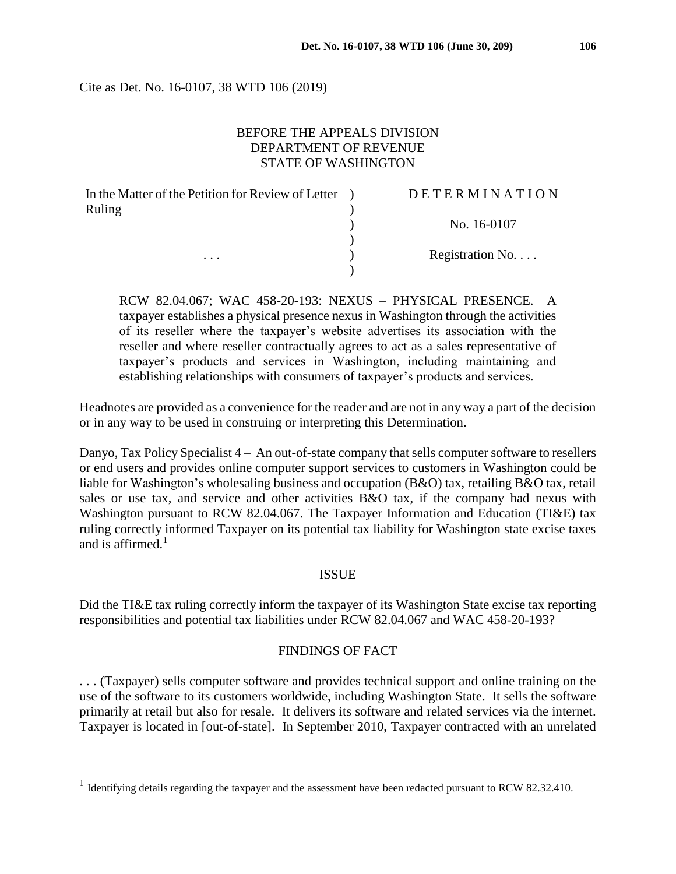Cite as Det. No. 16-0107, 38 WTD 106 (2019)

# BEFORE THE APPEALS DIVISION DEPARTMENT OF REVENUE STATE OF WASHINGTON

| In the Matter of the Petition for Review of Letter | DETERMINATION   |
|----------------------------------------------------|-----------------|
| Ruling                                             |                 |
|                                                    | No. 16-0107     |
|                                                    |                 |
| .                                                  | Registration No |
|                                                    |                 |

RCW 82.04.067; WAC 458-20-193: NEXUS – PHYSICAL PRESENCE. A taxpayer establishes a physical presence nexus in Washington through the activities of its reseller where the taxpayer's website advertises its association with the reseller and where reseller contractually agrees to act as a sales representative of taxpayer's products and services in Washington, including maintaining and establishing relationships with consumers of taxpayer's products and services.

Headnotes are provided as a convenience for the reader and are not in any way a part of the decision or in any way to be used in construing or interpreting this Determination.

Danyo, Tax Policy Specialist 4 – An out-of-state company that sells computer software to resellers or end users and provides online computer support services to customers in Washington could be liable for Washington's wholesaling business and occupation (B&O) tax, retailing B&O tax, retail sales or use tax, and service and other activities B&O tax, if the company had nexus with Washington pursuant to RCW 82.04.067. The Taxpayer Information and Education (TI&E) tax ruling correctly informed Taxpayer on its potential tax liability for Washington state excise taxes and is affirmed. $1$ 

## **ISSUE**

Did the TI&E tax ruling correctly inform the taxpayer of its Washington State excise tax reporting responsibilities and potential tax liabilities under RCW 82.04.067 and WAC 458-20-193?

#### FINDINGS OF FACT

. . . (Taxpayer) sells computer software and provides technical support and online training on the use of the software to its customers worldwide, including Washington State. It sells the software primarily at retail but also for resale. It delivers its software and related services via the internet. Taxpayer is located in [out-of-state]. In September 2010, Taxpayer contracted with an unrelated

<sup>&</sup>lt;sup>1</sup> Identifying details regarding the taxpayer and the assessment have been redacted pursuant to RCW 82.32.410.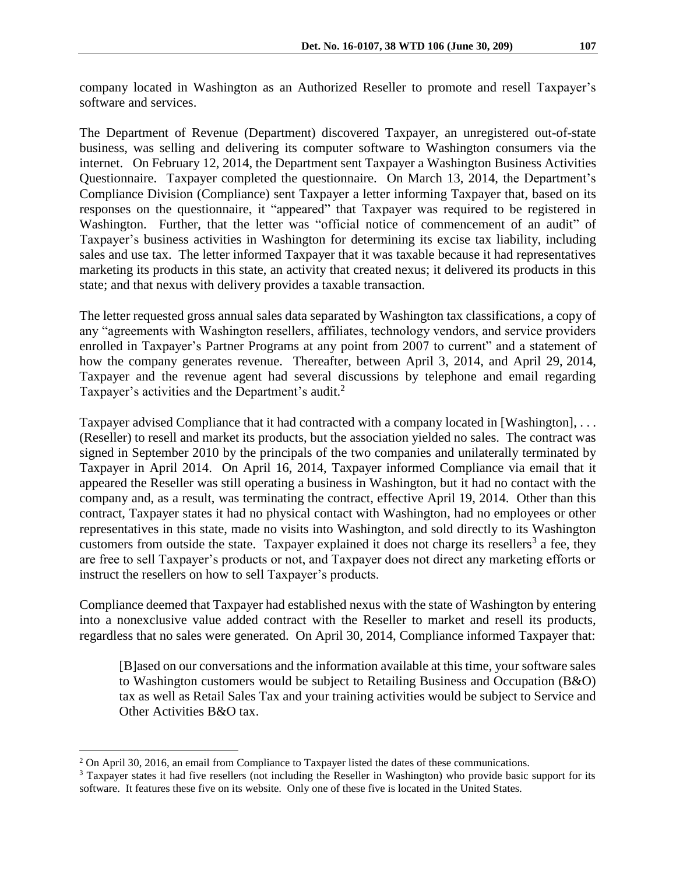company located in Washington as an Authorized Reseller to promote and resell Taxpayer's software and services.

The Department of Revenue (Department) discovered Taxpayer, an unregistered out-of-state business, was selling and delivering its computer software to Washington consumers via the internet. On February 12, 2014, the Department sent Taxpayer a Washington Business Activities Questionnaire. Taxpayer completed the questionnaire. On March 13, 2014, the Department's Compliance Division (Compliance) sent Taxpayer a letter informing Taxpayer that, based on its responses on the questionnaire, it "appeared" that Taxpayer was required to be registered in Washington. Further, that the letter was "official notice of commencement of an audit" of Taxpayer's business activities in Washington for determining its excise tax liability, including sales and use tax. The letter informed Taxpayer that it was taxable because it had representatives marketing its products in this state, an activity that created nexus; it delivered its products in this state; and that nexus with delivery provides a taxable transaction.

The letter requested gross annual sales data separated by Washington tax classifications, a copy of any "agreements with Washington resellers, affiliates, technology vendors, and service providers enrolled in Taxpayer's Partner Programs at any point from 2007 to current" and a statement of how the company generates revenue. Thereafter, between April 3, 2014, and April 29, 2014, Taxpayer and the revenue agent had several discussions by telephone and email regarding Taxpayer's activities and the Department's audit.<sup>2</sup>

Taxpayer advised Compliance that it had contracted with a company located in [Washington], . . . (Reseller) to resell and market its products, but the association yielded no sales. The contract was signed in September 2010 by the principals of the two companies and unilaterally terminated by Taxpayer in April 2014. On April 16, 2014, Taxpayer informed Compliance via email that it appeared the Reseller was still operating a business in Washington, but it had no contact with the company and, as a result, was terminating the contract, effective April 19, 2014. Other than this contract, Taxpayer states it had no physical contact with Washington, had no employees or other representatives in this state, made no visits into Washington, and sold directly to its Washington customers from outside the state. Taxpayer explained it does not charge its resellers<sup>3</sup> a fee, they are free to sell Taxpayer's products or not, and Taxpayer does not direct any marketing efforts or instruct the resellers on how to sell Taxpayer's products.

Compliance deemed that Taxpayer had established nexus with the state of Washington by entering into a nonexclusive value added contract with the Reseller to market and resell its products, regardless that no sales were generated. On April 30, 2014, Compliance informed Taxpayer that:

[B]ased on our conversations and the information available at this time, your software sales to Washington customers would be subject to Retailing Business and Occupation (B&O) tax as well as Retail Sales Tax and your training activities would be subject to Service and Other Activities B&O tax.

<sup>&</sup>lt;sup>2</sup> On April 30, 2016, an email from Compliance to Taxpayer listed the dates of these communications.

<sup>3</sup> Taxpayer states it had five resellers (not including the Reseller in Washington) who provide basic support for its software. It features these five on its website. Only one of these five is located in the United States.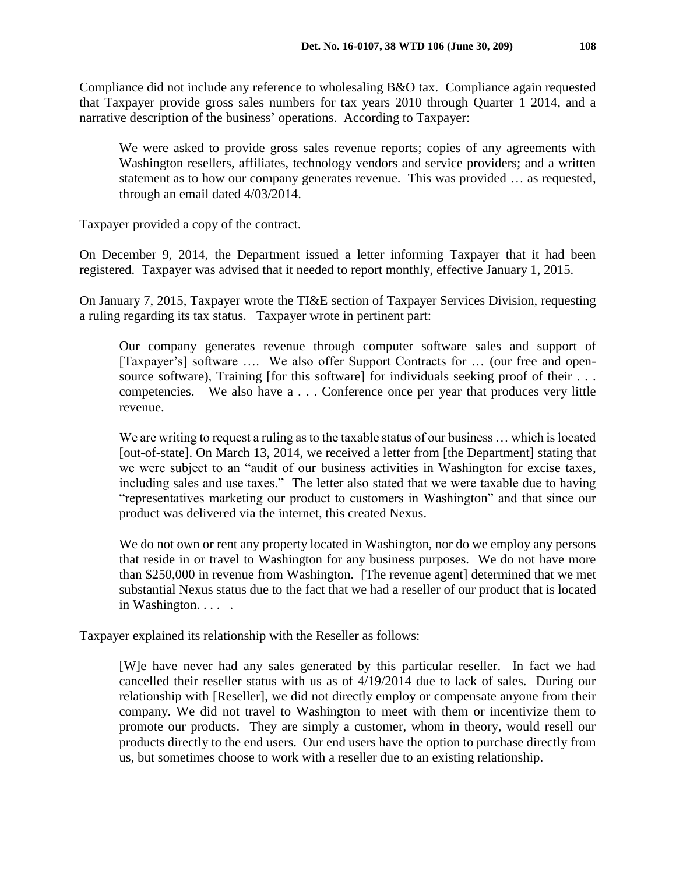Compliance did not include any reference to wholesaling B&O tax. Compliance again requested that Taxpayer provide gross sales numbers for tax years 2010 through Quarter 1 2014, and a narrative description of the business' operations. According to Taxpayer:

We were asked to provide gross sales revenue reports; copies of any agreements with Washington resellers, affiliates, technology vendors and service providers; and a written statement as to how our company generates revenue. This was provided … as requested, through an email dated 4/03/2014.

Taxpayer provided a copy of the contract.

On December 9, 2014, the Department issued a letter informing Taxpayer that it had been registered. Taxpayer was advised that it needed to report monthly, effective January 1, 2015.

On January 7, 2015, Taxpayer wrote the TI&E section of Taxpayer Services Division, requesting a ruling regarding its tax status. Taxpayer wrote in pertinent part:

Our company generates revenue through computer software sales and support of [Taxpayer's] software .... We also offer Support Contracts for ... (our free and opensource software), Training [for this software] for individuals seeking proof of their . . . competencies. We also have a . . . Conference once per year that produces very little revenue.

We are writing to request a ruling as to the taxable status of our business  $\dots$  which is located [out-of-state]. On March 13, 2014, we received a letter from [the Department] stating that we were subject to an "audit of our business activities in Washington for excise taxes, including sales and use taxes." The letter also stated that we were taxable due to having "representatives marketing our product to customers in Washington" and that since our product was delivered via the internet, this created Nexus.

We do not own or rent any property located in Washington, nor do we employ any persons that reside in or travel to Washington for any business purposes. We do not have more than \$250,000 in revenue from Washington. [The revenue agent] determined that we met substantial Nexus status due to the fact that we had a reseller of our product that is located in Washington. . . .

Taxpayer explained its relationship with the Reseller as follows:

[W]e have never had any sales generated by this particular reseller. In fact we had cancelled their reseller status with us as of 4/19/2014 due to lack of sales. During our relationship with [Reseller], we did not directly employ or compensate anyone from their company. We did not travel to Washington to meet with them or incentivize them to promote our products. They are simply a customer, whom in theory, would resell our products directly to the end users. Our end users have the option to purchase directly from us, but sometimes choose to work with a reseller due to an existing relationship.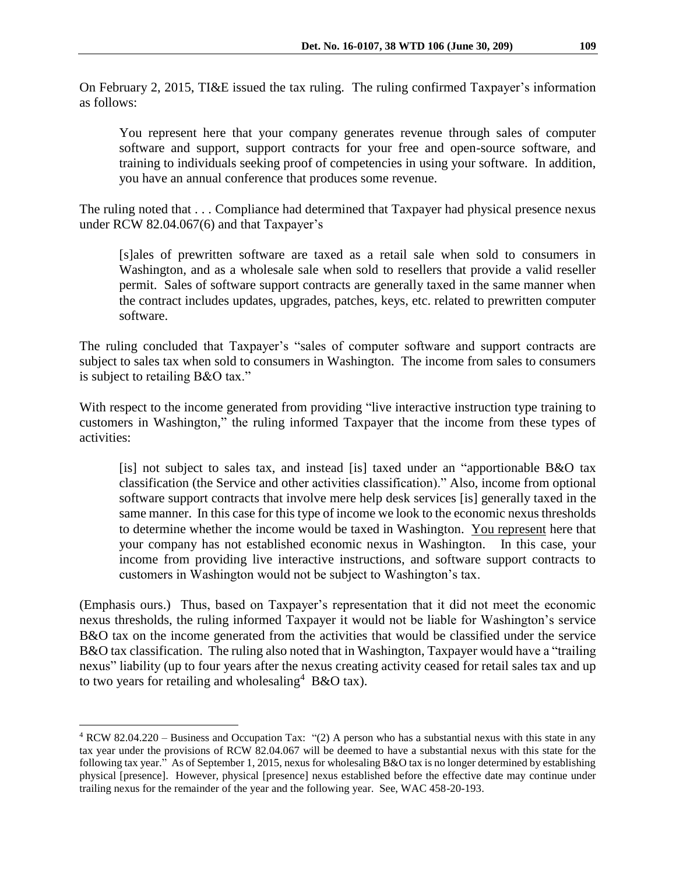On February 2, 2015, TI&E issued the tax ruling. The ruling confirmed Taxpayer's information as follows:

You represent here that your company generates revenue through sales of computer software and support, support contracts for your free and open-source software, and training to individuals seeking proof of competencies in using your software. In addition, you have an annual conference that produces some revenue.

The ruling noted that . . . Compliance had determined that Taxpayer had physical presence nexus under RCW 82.04.067(6) and that Taxpayer's

[s]ales of prewritten software are taxed as a retail sale when sold to consumers in Washington, and as a wholesale sale when sold to resellers that provide a valid reseller permit. Sales of software support contracts are generally taxed in the same manner when the contract includes updates, upgrades, patches, keys, etc. related to prewritten computer software.

The ruling concluded that Taxpayer's "sales of computer software and support contracts are subject to sales tax when sold to consumers in Washington. The income from sales to consumers is subject to retailing B&O tax."

With respect to the income generated from providing "live interactive instruction type training to customers in Washington," the ruling informed Taxpayer that the income from these types of activities:

[is] not subject to sales tax, and instead [is] taxed under an "apportionable B&O tax classification (the Service and other activities classification)." Also, income from optional software support contracts that involve mere help desk services [is] generally taxed in the same manner. In this case for this type of income we look to the economic nexus thresholds to determine whether the income would be taxed in Washington. You represent here that your company has not established economic nexus in Washington. In this case, your income from providing live interactive instructions, and software support contracts to customers in Washington would not be subject to Washington's tax.

(Emphasis ours.) Thus, based on Taxpayer's representation that it did not meet the economic nexus thresholds, the ruling informed Taxpayer it would not be liable for Washington's service B&O tax on the income generated from the activities that would be classified under the service B&O tax classification. The ruling also noted that in Washington, Taxpayer would have a "trailing nexus" liability (up to four years after the nexus creating activity ceased for retail sales tax and up to two years for retailing and wholesaling  $4$  B&O tax).

<sup>4</sup> RCW 82.04.220 – Business and Occupation Tax: "(2) A person who has a substantial nexus with this state in any tax year under the provisions of RCW 82.04.067 will be deemed to have a substantial nexus with this state for the following tax year." As of September 1, 2015, nexus for wholesaling B&O tax is no longer determined by establishing physical [presence]. However, physical [presence] nexus established before the effective date may continue under trailing nexus for the remainder of the year and the following year. See, WAC 458-20-193.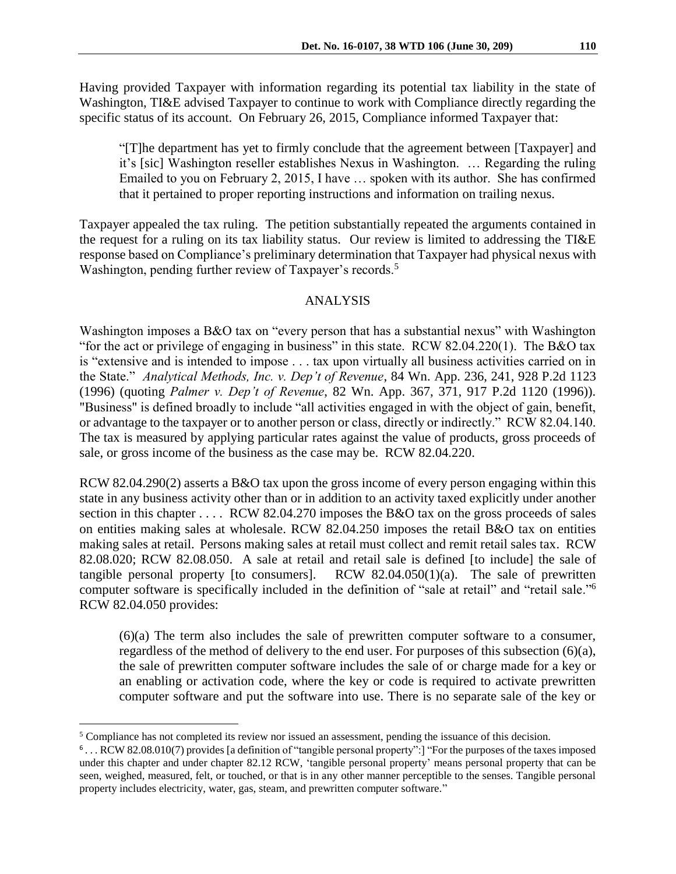Having provided Taxpayer with information regarding its potential tax liability in the state of Washington, TI&E advised Taxpayer to continue to work with Compliance directly regarding the specific status of its account. On February 26, 2015, Compliance informed Taxpayer that:

"[T]he department has yet to firmly conclude that the agreement between [Taxpayer] and it's [sic] Washington reseller establishes Nexus in Washington. … Regarding the ruling Emailed to you on February 2, 2015, I have … spoken with its author. She has confirmed that it pertained to proper reporting instructions and information on trailing nexus.

Taxpayer appealed the tax ruling. The petition substantially repeated the arguments contained in the request for a ruling on its tax liability status. Our review is limited to addressing the TI&E response based on Compliance's preliminary determination that Taxpayer had physical nexus with Washington, pending further review of Taxpayer's records.<sup>5</sup>

## ANALYSIS

Washington imposes a B&O tax on "every person that has a substantial nexus" with Washington "for the act or privilege of engaging in business" in this state. RCW 82.04.220(1). The B&O tax is "extensive and is intended to impose . . . tax upon virtually all business activities carried on in the State." *Analytical Methods, Inc. v. Dep't of Revenue*, 84 Wn. App. 236, 241, 928 P.2d 1123 (1996) (quoting *Palmer v. Dep't of Revenue*, 82 Wn. App. 367, 371, 917 P.2d 1120 (1996)). "Business" is defined broadly to include "all activities engaged in with the object of gain, benefit, or advantage to the taxpayer or to another person or class, directly or indirectly." RCW 82.04.140. The tax is measured by applying particular rates against the value of products, gross proceeds of sale, or gross income of the business as the case may be. RCW 82.04.220.

RCW 82.04.290(2) asserts a B&O tax upon the gross income of every person engaging within this state in any business activity other than or in addition to an activity taxed explicitly under another section in this chapter . . . . RCW 82.04.270 imposes the B&O tax on the gross proceeds of sales on entities making sales at wholesale. RCW 82.04.250 imposes the retail B&O tax on entities making sales at retail. Persons making sales at retail must collect and remit retail sales tax. RCW 82.08.020; RCW 82.08.050. A sale at retail and retail sale is defined [to include] the sale of tangible personal property [to consumers]. RCW  $82.04.050(1)(a)$ . The sale of prewritten computer software is specifically included in the definition of "sale at retail" and "retail sale."<sup>6</sup> RCW 82.04.050 provides:

(6)(a) The term also includes the sale of prewritten computer software to a consumer, regardless of the method of delivery to the end user. For purposes of this subsection  $(6)(a)$ , the sale of prewritten computer software includes the sale of or charge made for a key or an enabling or activation code, where the key or code is required to activate prewritten computer software and put the software into use. There is no separate sale of the key or

<sup>&</sup>lt;sup>5</sup> Compliance has not completed its review nor issued an assessment, pending the issuance of this decision.

<sup>6</sup> . . . RCW 82.08.010(7) provides [a definition of "tangible personal property":] "For the purposes of the taxes imposed under this chapter and under chapter 82.12 RCW, 'tangible personal property' means personal property that can be seen, weighed, measured, felt, or touched, or that is in any other manner perceptible to the senses. Tangible personal property includes electricity, water, gas, steam, and prewritten computer software."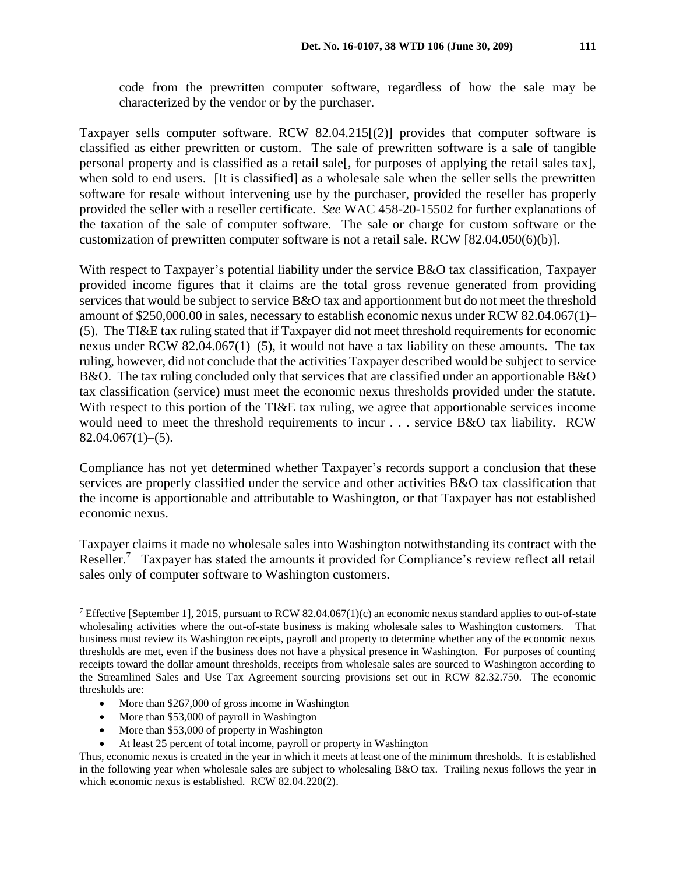code from the prewritten computer software, regardless of how the sale may be characterized by the vendor or by the purchaser.

Taxpayer sells computer software. RCW 82.04.215[(2)] provides that computer software is classified as either prewritten or custom. The sale of prewritten software is a sale of tangible personal property and is classified as a retail sale[, for purposes of applying the retail sales tax], when sold to end users. [It is classified] as a wholesale sale when the seller sells the prewritten software for resale without intervening use by the purchaser, provided the reseller has properly provided the seller with a reseller certificate. *See* WAC 458-20-15502 for further explanations of the taxation of the sale of computer software. The sale or charge for custom software or the customization of prewritten computer software is not a retail sale. RCW [82.04.050(6)(b)].

With respect to Taxpayer's potential liability under the service B&O tax classification, Taxpayer provided income figures that it claims are the total gross revenue generated from providing services that would be subject to service B&O tax and apportionment but do not meet the threshold amount of \$250,000.00 in sales, necessary to establish economic nexus under RCW 82.04.067(1)– (5). The TI&E tax ruling stated that if Taxpayer did not meet threshold requirements for economic nexus under RCW 82.04.067(1)–(5), it would not have a tax liability on these amounts. The tax ruling, however, did not conclude that the activities Taxpayer described would be subject to service B&O. The tax ruling concluded only that services that are classified under an apportionable B&O tax classification (service) must meet the economic nexus thresholds provided under the statute. With respect to this portion of the TI&E tax ruling, we agree that apportionable services income would need to meet the threshold requirements to incur . . . service B&O tax liability. RCW  $82.04.067(1)–(5)$ .

Compliance has not yet determined whether Taxpayer's records support a conclusion that these services are properly classified under the service and other activities B&O tax classification that the income is apportionable and attributable to Washington, or that Taxpayer has not established economic nexus.

Taxpayer claims it made no wholesale sales into Washington notwithstanding its contract with the Reseller.<sup>7</sup> Taxpayer has stated the amounts it provided for Compliance's review reflect all retail sales only of computer software to Washington customers.

- More than \$267,000 of gross income in Washington
- More than \$53,000 of payroll in Washington

- More than \$53,000 of property in Washington
- At least 25 percent of total income, payroll or property in Washington

<sup>7</sup> Effective [September 1], 2015, pursuant to RCW 82.04.067(1)(c) an economic nexus standard applies to out-of-state wholesaling activities where the out-of-state business is making wholesale sales to Washington customers. That business must review its Washington receipts, payroll and property to determine whether any of the economic nexus thresholds are met, even if the business does not have a physical presence in Washington. For purposes of counting receipts toward the dollar amount thresholds, receipts from wholesale sales are sourced to Washington according to the Streamlined Sales and Use Tax Agreement sourcing provisions set out in RCW 82.32.750. The economic thresholds are:

Thus, economic nexus is created in the year in which it meets at least one of the minimum thresholds. It is established in the following year when wholesale sales are subject to wholesaling B&O tax. Trailing nexus follows the year in which economic nexus is established. RCW 82.04.220(2).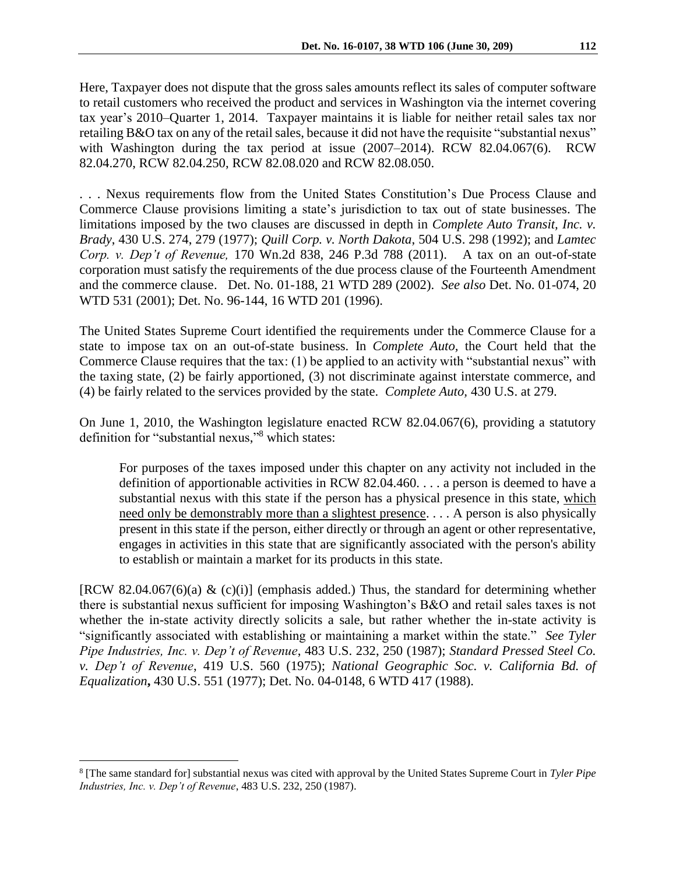Here, Taxpayer does not dispute that the gross sales amounts reflect its sales of computer software to retail customers who received the product and services in Washington via the internet covering tax year's 2010–Quarter 1, 2014. Taxpayer maintains it is liable for neither retail sales tax nor retailing B&O tax on any of the retail sales, because it did not have the requisite "substantial nexus" with Washington during the tax period at issue (2007–2014). RCW 82.04.067(6). RCW 82.04.270, RCW 82.04.250, RCW 82.08.020 and RCW 82.08.050.

. . . Nexus requirements flow from the United States Constitution's Due Process Clause and Commerce Clause provisions limiting a state's jurisdiction to tax out of state businesses. The limitations imposed by the two clauses are discussed in depth in *Complete Auto Transit, Inc. v. Brady*, 430 U.S. 274, 279 (1977); *Quill Corp. v. North Dakota*, 504 U.S. 298 (1992); and *Lamtec Corp. v. Dep't of Revenue,* 170 Wn.2d 838, 246 P.3d 788 (2011). A tax on an out-of-state corporation must satisfy the requirements of the due process clause of the Fourteenth Amendment and the commerce clause. Det. No. 01-188, 21 WTD 289 (2002). *See also* Det. No. 01-074, 20 WTD 531 (2001); Det. No. 96-144, 16 WTD 201 (1996).

The United States Supreme Court identified the requirements under the Commerce Clause for a state to impose tax on an out-of-state business. In *Complete Auto,* the Court held that the Commerce Clause requires that the tax: (1) be applied to an activity with "substantial nexus" with the taxing state, (2) be fairly apportioned, (3) not discriminate against interstate commerce, and (4) be fairly related to the services provided by the state. *Complete Auto,* 430 U.S. at 279.

On June 1, 2010, the Washington legislature enacted RCW 82.04.067(6), providing a statutory definition for "substantial nexus," <sup>8</sup> which states:

For purposes of the taxes imposed under this chapter on any activity not included in the definition of apportionable activities in RCW 82.04.460. . . . a person is deemed to have a substantial nexus with this state if the person has a physical presence in this state, which need only be demonstrably more than a slightest presence. . . . A person is also physically present in this state if the person, either directly or through an agent or other representative, engages in activities in this state that are significantly associated with the person's ability to establish or maintain a market for its products in this state.

[RCW 82.04.067(6)(a) & (c)(i)] (emphasis added.) Thus, the standard for determining whether there is substantial nexus sufficient for imposing Washington's B&O and retail sales taxes is not whether the in-state activity directly solicits a sale, but rather whether the in-state activity is "significantly associated with establishing or maintaining a market within the state." *See Tyler Pipe Industries, Inc. v. Dep't of Revenue*, 483 U.S. 232, 250 (1987); *Standard Pressed Steel Co. v. Dep't of Revenue*, 419 U.S. 560 (1975); *National Geographic Soc. v. California Bd. of Equalization***,** 430 U.S. 551 (1977); Det. No. 04-0148, 6 WTD 417 (1988).

<sup>8</sup> [The same standard for] substantial nexus was cited with approval by the United States Supreme Court in *Tyler Pipe Industries, Inc. v. Dep't of Revenue*, 483 U.S. 232, 250 (1987).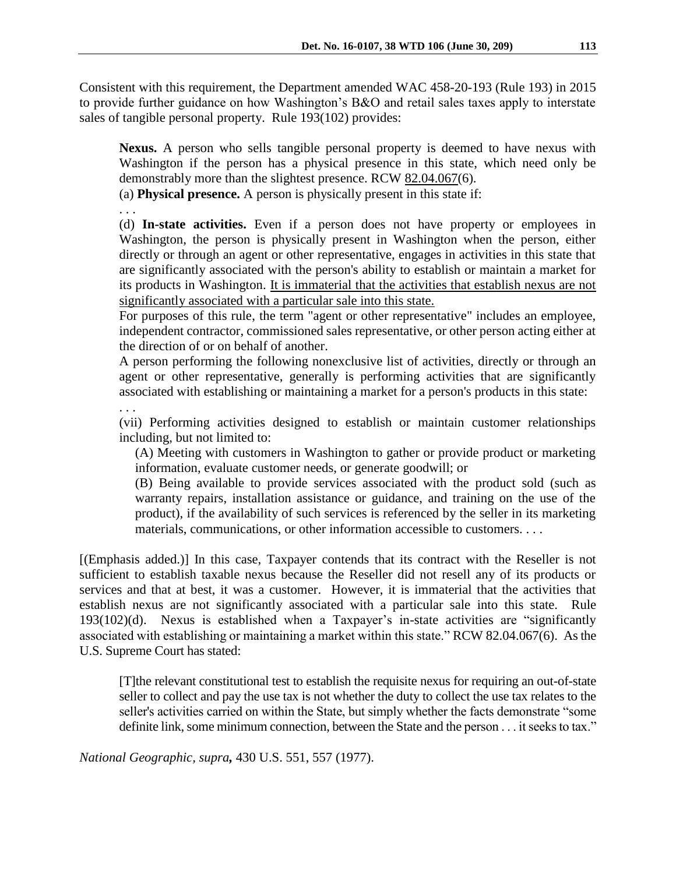Consistent with this requirement, the Department amended WAC 458-20-193 (Rule 193) in 2015 to provide further guidance on how Washington's B&O and retail sales taxes apply to interstate sales of tangible personal property. Rule 193(102) provides:

**Nexus.** A person who sells tangible personal property is deemed to have nexus with Washington if the person has a physical presence in this state, which need only be demonstrably more than the slightest presence. RCW 82.04.067(6).

(a) **Physical presence.** A person is physically present in this state if:

. . .

(d) **In-state activities.** Even if a person does not have property or employees in Washington, the person is physically present in Washington when the person, either directly or through an agent or other representative, engages in activities in this state that are significantly associated with the person's ability to establish or maintain a market for its products in Washington. It is immaterial that the activities that establish nexus are not significantly associated with a particular sale into this state.

For purposes of this rule, the term "agent or other representative" includes an employee, independent contractor, commissioned sales representative, or other person acting either at the direction of or on behalf of another.

A person performing the following nonexclusive list of activities, directly or through an agent or other representative, generally is performing activities that are significantly associated with establishing or maintaining a market for a person's products in this state:

. . .

(vii) Performing activities designed to establish or maintain customer relationships including, but not limited to:

(A) Meeting with customers in Washington to gather or provide product or marketing information, evaluate customer needs, or generate goodwill; or

(B) Being available to provide services associated with the product sold (such as warranty repairs, installation assistance or guidance, and training on the use of the product), if the availability of such services is referenced by the seller in its marketing materials, communications, or other information accessible to customers. . . .

[(Emphasis added.)] In this case, Taxpayer contends that its contract with the Reseller is not sufficient to establish taxable nexus because the Reseller did not resell any of its products or services and that at best, it was a customer. However, it is immaterial that the activities that establish nexus are not significantly associated with a particular sale into this state. Rule 193(102)(d). Nexus is established when a Taxpayer's in-state activities are "significantly associated with establishing or maintaining a market within this state." RCW 82.04.067(6). As the U.S. Supreme Court has stated:

[T]the relevant constitutional test to establish the requisite nexus for requiring an out-of-state seller to collect and pay the use tax is not whether the duty to collect the use tax relates to the seller's activities carried on within the State, but simply whether the facts demonstrate "some definite link, some minimum connection, between the State and the person . . . it seeks to tax."

*National Geographic, supra,* 430 U.S. 551, 557 (1977).